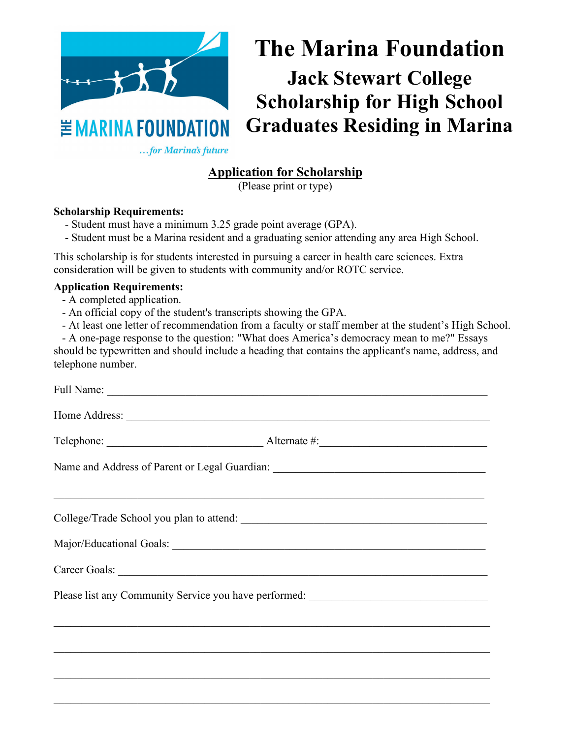

## **Application for Scholarship**

(Please print or type)

## **Scholarship Requirements:**

- Student must have a minimum 3.25 grade point average (GPA).
- Student must be a Marina resident and a graduating senior attending any area High School.

This scholarship is for students interested in pursuing a career in health care sciences. Extra consideration will be given to students with community and/or ROTC service.

## **Application Requirements:**

- A completed application.
- An official copy of the student's transcripts showing the GPA.
- At least one letter of recommendation from a faculty or staff member at the student's High School.

- A one-page response to the question: "What does America's democracy mean to me?" Essays should be typewritten and should include a heading that contains the applicant's name, address, and telephone number.

|                                                                                   | Name and Address of Parent or Legal Guardian: ___________________________________ |  |
|-----------------------------------------------------------------------------------|-----------------------------------------------------------------------------------|--|
|                                                                                   |                                                                                   |  |
|                                                                                   | College/Trade School you plan to attend:                                          |  |
|                                                                                   |                                                                                   |  |
|                                                                                   | Career Goals: New York Career Goals:                                              |  |
| Please list any Community Service you have performed: ___________________________ |                                                                                   |  |
|                                                                                   |                                                                                   |  |
|                                                                                   |                                                                                   |  |
|                                                                                   |                                                                                   |  |
|                                                                                   |                                                                                   |  |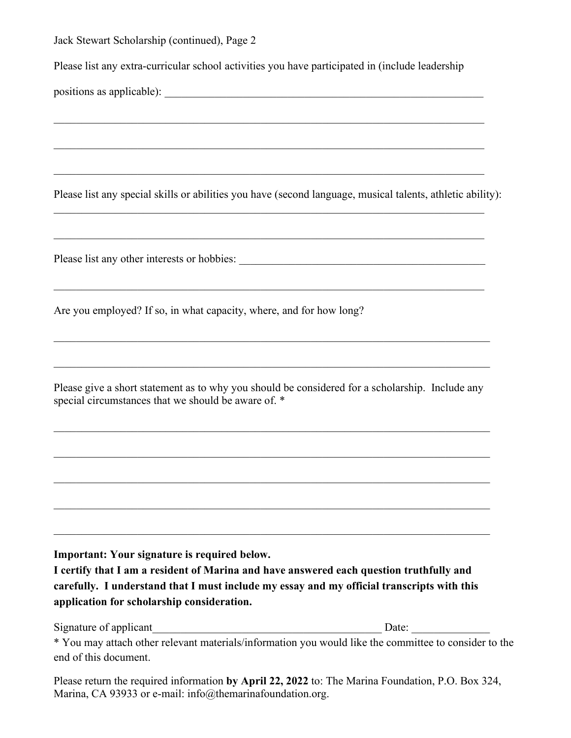| carefully. I understand that I must include my essay and my official transcripts with this<br>application for scholarship consideration.<br>Signature of applicant | Date:                                                                                                                                                                                                                                                         |
|--------------------------------------------------------------------------------------------------------------------------------------------------------------------|---------------------------------------------------------------------------------------------------------------------------------------------------------------------------------------------------------------------------------------------------------------|
| Important: Your signature is required below.<br>I certify that I am a resident of Marina and have answered each question truthfully and                            |                                                                                                                                                                                                                                                               |
|                                                                                                                                                                    |                                                                                                                                                                                                                                                               |
|                                                                                                                                                                    |                                                                                                                                                                                                                                                               |
| Please give a short statement as to why you should be considered for a scholarship. Include any<br>special circumstances that we should be aware of. *             |                                                                                                                                                                                                                                                               |
|                                                                                                                                                                    | <u> 1989 - Johann Stoff, amerikansk politiker (* 1908)</u>                                                                                                                                                                                                    |
| Are you employed? If so, in what capacity, where, and for how long?                                                                                                | <u> 1989 - Johann Stoff, amerikansk politiker (d. 1989)</u>                                                                                                                                                                                                   |
|                                                                                                                                                                    |                                                                                                                                                                                                                                                               |
|                                                                                                                                                                    | <u> 1999 - Paradon Barat, presidente e a contra de la contrada de la contrada de la contrada de la contrada de l</u>                                                                                                                                          |
|                                                                                                                                                                    | ,我们也不能在这里的时候,我们也不能在这里的时候,我们也不能不能不能会不能不能会不能会不能会不能会不能会不能会不能会。<br>第2012章 我们的时候,我们的时候,我们的时候,我们的时候,我们的时候,我们的时候,我们的时候,我们的时候,我们的时候,我们的时候,我们的时候,我们的时候,我<br>Please list any special skills or abilities you have (second language, musical talents, athletic ability): |
|                                                                                                                                                                    | ,我们也不能在这里的时候,我们也不能在这里的时候,我们也不能会在这里的时候,我们也不能会在这里的时候,我们也不能会在这里的时候,我们也不能会在这里的时候,我们也                                                                                                                                                                              |
|                                                                                                                                                                    |                                                                                                                                                                                                                                                               |
| Please list any extra-curricular school activities you have participated in (include leadership                                                                    |                                                                                                                                                                                                                                                               |
| Jack Stewart Scholarship (continued), Page 2                                                                                                                       |                                                                                                                                                                                                                                                               |

\* You may attach other relevant materials/information you would like the committee to consider to the end of this document.

Please return the required information **by April 22, 2022** to: The Marina Foundation, P.O. Box 324, Marina, CA 93933 or e-mail: info@themarinafoundation.org.